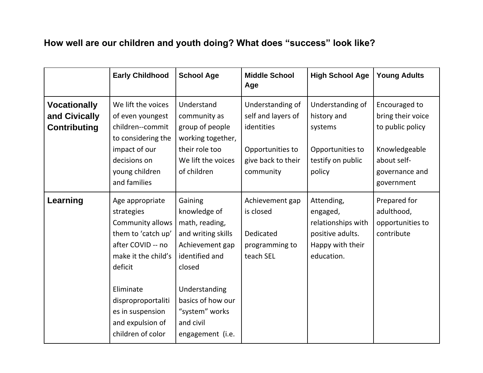## **How well are our children and youth doing? What does "success" look like?**

|                                                             | <b>Early Childhood</b>                                                                                                                                                                                                         | <b>School Age</b>                                                                                                                                                                                       | <b>Middle School</b><br>Age                                                                                 | <b>High School Age</b>                                                                             | <b>Young Adults</b>                                                                                                    |
|-------------------------------------------------------------|--------------------------------------------------------------------------------------------------------------------------------------------------------------------------------------------------------------------------------|---------------------------------------------------------------------------------------------------------------------------------------------------------------------------------------------------------|-------------------------------------------------------------------------------------------------------------|----------------------------------------------------------------------------------------------------|------------------------------------------------------------------------------------------------------------------------|
| <b>Vocationally</b><br>and Civically<br><b>Contributing</b> | We lift the voices<br>of even youngest<br>children--commit<br>to considering the<br>impact of our<br>decisions on<br>young children<br>and families                                                                            | Understand<br>community as<br>group of people<br>working together,<br>their role too<br>We lift the voices<br>of children                                                                               | Understanding of<br>self and layers of<br>identities<br>Opportunities to<br>give back to their<br>community | Understanding of<br>history and<br>systems<br>Opportunities to<br>testify on public<br>policy      | Encouraged to<br>bring their voice<br>to public policy<br>Knowledgeable<br>about self-<br>governance and<br>government |
| Learning                                                    | Age appropriate<br>strategies<br>Community allows<br>them to 'catch up'<br>after COVID -- no<br>make it the child's<br>deficit<br>Eliminate<br>disproproportaliti<br>es in suspension<br>and expulsion of<br>children of color | Gaining<br>knowledge of<br>math, reading,<br>and writing skills<br>Achievement gap<br>identified and<br>closed<br>Understanding<br>basics of how our<br>"system" works<br>and civil<br>engagement (i.e. | Achievement gap<br>is closed<br>Dedicated<br>programming to<br>teach SEL                                    | Attending,<br>engaged,<br>relationships with<br>positive adults.<br>Happy with their<br>education. | Prepared for<br>adulthood,<br>opportunities to<br>contribute                                                           |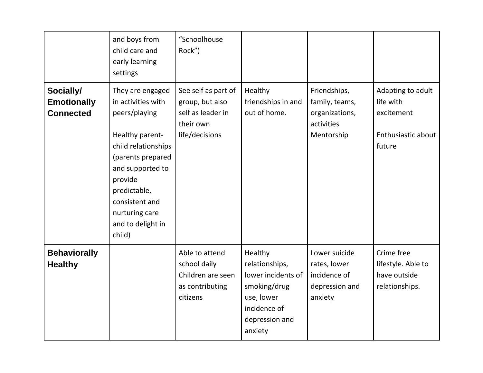|                                                     | and boys from<br>child care and<br>early learning<br>settings                                                                                                                                                                            | "Schoolhouse<br>Rock")                                                                     |                                                                                                                            |                                                                              |                                                                              |
|-----------------------------------------------------|------------------------------------------------------------------------------------------------------------------------------------------------------------------------------------------------------------------------------------------|--------------------------------------------------------------------------------------------|----------------------------------------------------------------------------------------------------------------------------|------------------------------------------------------------------------------|------------------------------------------------------------------------------|
| Socially/<br><b>Emotionally</b><br><b>Connected</b> | They are engaged<br>in activities with<br>peers/playing<br>Healthy parent-<br>child relationships<br>(parents prepared<br>and supported to<br>provide<br>predictable,<br>consistent and<br>nurturing care<br>and to delight in<br>child) | See self as part of<br>group, but also<br>self as leader in<br>their own<br>life/decisions | Healthy<br>friendships in and<br>out of home.                                                                              | Friendships,<br>family, teams,<br>organizations,<br>activities<br>Mentorship | Adapting to adult<br>life with<br>excitement<br>Enthusiastic about<br>future |
| <b>Behaviorally</b><br><b>Healthy</b>               |                                                                                                                                                                                                                                          | Able to attend<br>school daily<br>Children are seen<br>as contributing<br>citizens         | Healthy<br>relationships,<br>lower incidents of<br>smoking/drug<br>use, lower<br>incidence of<br>depression and<br>anxiety | Lower suicide<br>rates, lower<br>incidence of<br>depression and<br>anxiety   | Crime free<br>lifestyle. Able to<br>have outside<br>relationships.           |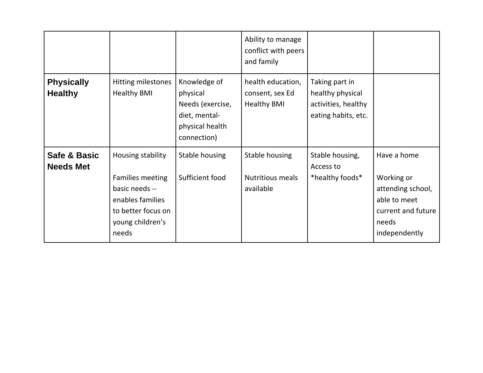|                                     |                                                                                                                                |                                                                                                 | Ability to manage<br>conflict with peers<br>and family     |                                                                                  |                                                                                                                |
|-------------------------------------|--------------------------------------------------------------------------------------------------------------------------------|-------------------------------------------------------------------------------------------------|------------------------------------------------------------|----------------------------------------------------------------------------------|----------------------------------------------------------------------------------------------------------------|
| <b>Physically</b><br><b>Healthy</b> | Hitting milestones<br><b>Healthy BMI</b>                                                                                       | Knowledge of<br>physical<br>Needs (exercise,<br>diet, mental-<br>physical health<br>connection) | health education,<br>consent, sex Ed<br><b>Healthy BMI</b> | Taking part in<br>healthy physical<br>activities, healthy<br>eating habits, etc. |                                                                                                                |
| Safe & Basic<br><b>Needs Met</b>    | Housing stability<br>Families meeting<br>basic needs --<br>enables families<br>to better focus on<br>young children's<br>needs | Stable housing<br>Sufficient food                                                               | Stable housing<br><b>Nutritious meals</b><br>available     | Stable housing,<br>Access to<br>*healthy foods*                                  | Have a home<br>Working or<br>attending school,<br>able to meet<br>current and future<br>needs<br>independently |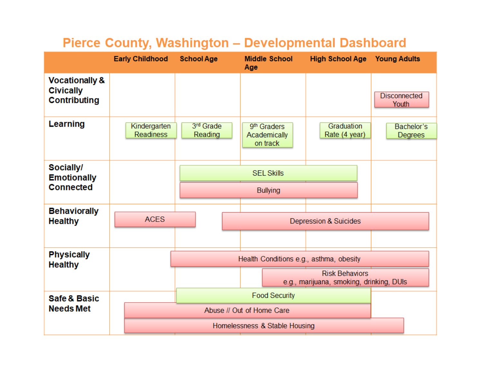|                                                                      | <b>Early Childhood</b>           | <b>School Age</b>                       | <b>Middle School</b><br>Age                         | <b>High School Age Young Adults</b>                               |                              |
|----------------------------------------------------------------------|----------------------------------|-----------------------------------------|-----------------------------------------------------|-------------------------------------------------------------------|------------------------------|
| <b>Vocationally &amp;</b><br><b>Civically</b><br><b>Contributing</b> |                                  |                                         |                                                     |                                                                   | <b>Disconnected</b><br>Youth |
| Learning                                                             | Kindergarten<br><b>Readiness</b> | 3rd Grade<br>Reading                    | 9 <sup>th</sup> Graders<br>Academically<br>on track | Graduation<br>Rate (4 year)                                       | Bachelor's<br>Degrees        |
| Socially/<br><b>Emotionally</b><br><b>Connected</b>                  |                                  |                                         | <b>SEL Skills</b><br><b>Bullying</b>                |                                                                   |                              |
| <b>Behaviorally</b><br><b>Healthy</b>                                | <b>ACES</b>                      |                                         |                                                     | <b>Depression &amp; Suicides</b>                                  |                              |
| <b>Physically</b><br><b>Healthy</b>                                  |                                  | Health Conditions e.g., asthma, obesity |                                                     |                                                                   |                              |
|                                                                      |                                  |                                         |                                                     | <b>Risk Behaviors</b><br>e.g., marijuana, smoking, drinking, DUIs |                              |
| Safe & Basic                                                         |                                  |                                         | <b>Food Security</b>                                |                                                                   |                              |
| <b>Needs Met</b>                                                     |                                  |                                         | Abuse // Out of Home Care                           |                                                                   |                              |
|                                                                      |                                  |                                         | Homelessness & Stable Housing                       |                                                                   |                              |

# Pierce County, Washington - Developmental Dashboard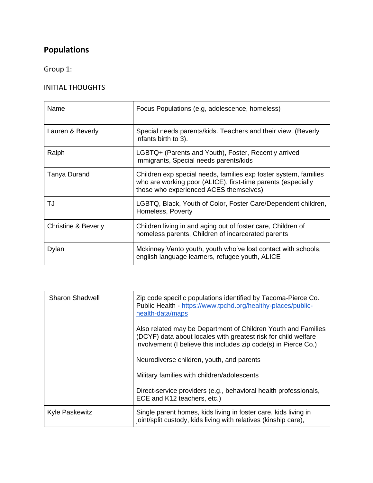### **Populations**

Group 1:

#### INITIAL THOUGHTS

| Name                           | Focus Populations (e.g. adolescence, homeless)                                                                                                                             |
|--------------------------------|----------------------------------------------------------------------------------------------------------------------------------------------------------------------------|
| Lauren & Beverly               | Special needs parents/kids. Teachers and their view. (Beverly<br>infants birth to 3).                                                                                      |
| Ralph                          | LGBTQ+ (Parents and Youth), Foster, Recently arrived<br>immigrants, Special needs parents/kids                                                                             |
| Tanya Durand                   | Children exp special needs, families exp foster system, families<br>who are working poor (ALICE), first-time parents (especially<br>those who experienced ACES themselves) |
| TJ                             | LGBTQ, Black, Youth of Color, Foster Care/Dependent children,<br>Homeless, Poverty                                                                                         |
| <b>Christine &amp; Beverly</b> | Children living in and aging out of foster care, Children of<br>homeless parents, Children of incarcerated parents                                                         |
| Dylan                          | Mckinney Vento youth, youth who've lost contact with schools,<br>english language learners, refugee youth, ALICE                                                           |

| <b>Sharon Shadwell</b> | Zip code specific populations identified by Tacoma-Pierce Co.<br>Public Health - https://www.tpchd.org/healthy-places/public-<br>health-data/maps                                                  |
|------------------------|----------------------------------------------------------------------------------------------------------------------------------------------------------------------------------------------------|
|                        | Also related may be Department of Children Youth and Families<br>(DCYF) data about locales with greatest risk for child welfare<br>involvement (I believe this includes zip code(s) in Pierce Co.) |
|                        | Neurodiverse children, youth, and parents                                                                                                                                                          |
|                        | Military families with children/adolescents                                                                                                                                                        |
|                        | Direct-service providers (e.g., behavioral health professionals,<br>ECE and K12 teachers, etc.)                                                                                                    |
| <b>Kyle Paskewitz</b>  | Single parent homes, kids living in foster care, kids living in<br>joint/split custody, kids living with relatives (kinship care),                                                                 |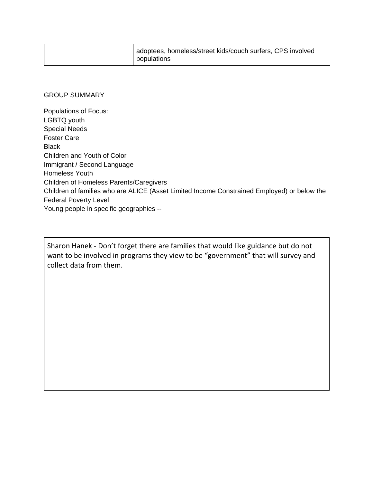#### GROUP SUMMARY

Populations of Focus: LGBTQ youth Special Needs Foster Care **Black** Children and Youth of Color Immigrant / Second Language Homeless Youth Children of Homeless Parents/Caregivers Children of families who are ALICE (Asset Limited Income Constrained Employed) or below the Federal Poverty Level Young people in specific geographies --

Sharon Hanek - Don't forget there are families that would like guidance but do not want to be involved in programs they view to be "government" that will survey and collect data from them.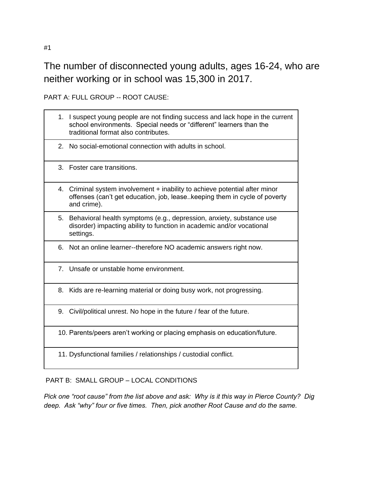The number of disconnected young adults, ages 16-24, who are neither working or in school was 15,300 in 2017.

PART A: FULL GROUP -- ROOT CAUSE:

|    | 1. I suspect young people are not finding success and lack hope in the current<br>school environments. Special needs or "different" learners than the<br>traditional format also contributes. |
|----|-----------------------------------------------------------------------------------------------------------------------------------------------------------------------------------------------|
|    | 2. No social-emotional connection with adults in school.                                                                                                                                      |
|    | 3. Foster care transitions.                                                                                                                                                                   |
|    | 4. Criminal system involvement + inability to achieve potential after minor<br>offenses (can't get education, job, lease. keeping them in cycle of poverty<br>and crime).                     |
|    | 5. Behavioral health symptoms (e.g., depression, anxiety, substance use<br>disorder) impacting ability to function in academic and/or vocational<br>settings.                                 |
| 6. | Not an online learner--therefore NO academic answers right now.                                                                                                                               |
|    | 7. Unsafe or unstable home environment.                                                                                                                                                       |
|    | 8. Kids are re-learning material or doing busy work, not progressing.                                                                                                                         |
| 9. | Civil/political unrest. No hope in the future / fear of the future.                                                                                                                           |
|    | 10. Parents/peers aren't working or placing emphasis on education/future.                                                                                                                     |
|    | 11. Dysfunctional families / relationships / custodial conflict.                                                                                                                              |

#### PART B: SMALL GROUP – LOCAL CONDITIONS

*Pick one "root cause" from the list above and ask: Why is it this way in Pierce County? Dig deep. Ask "why" four or five times. Then, pick another Root Cause and do the same.*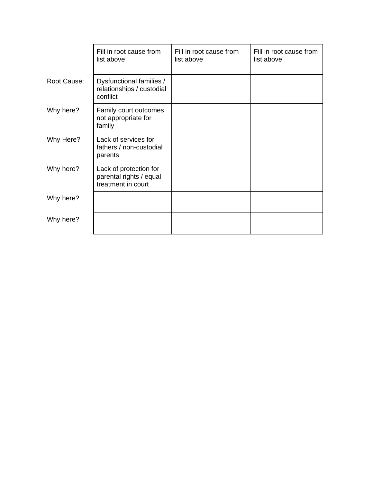|             | Fill in root cause from<br>list above                                   | Fill in root cause from<br>list above | Fill in root cause from<br>list above |
|-------------|-------------------------------------------------------------------------|---------------------------------------|---------------------------------------|
| Root Cause: | Dysfunctional families /<br>relationships / custodial<br>conflict       |                                       |                                       |
| Why here?   | Family court outcomes<br>not appropriate for<br>family                  |                                       |                                       |
| Why Here?   | Lack of services for<br>fathers / non-custodial<br>parents              |                                       |                                       |
| Why here?   | Lack of protection for<br>parental rights / equal<br>treatment in court |                                       |                                       |
| Why here?   |                                                                         |                                       |                                       |
| Why here?   |                                                                         |                                       |                                       |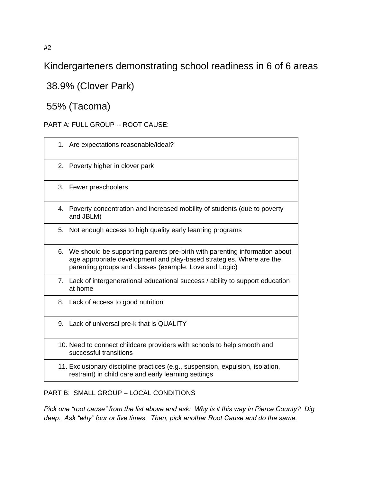Kindergarteners demonstrating school readiness in 6 of 6 areas

38.9% (Clover Park)

55% (Tacoma)

PART A: FULL GROUP -- ROOT CAUSE:

| 1. Are expectations reasonable/ideal?<br>2. Poverty higher in clover park<br>3. Fewer preschoolers<br>4. Poverty concentration and increased mobility of students (due to poverty<br>and JBLM)<br>5. Not enough access to high quality early learning programs<br>6. We should be supporting parents pre-birth with parenting information about<br>age appropriate development and play-based strategies. Where are the<br>parenting groups and classes (example: Love and Logic)<br>7. Lack of intergenerational educational success / ability to support education<br>at home<br>8. Lack of access to good nutrition<br>9. Lack of universal pre-k that is QUALITY<br>10. Need to connect childcare providers with schools to help smooth and<br>successful transitions<br>11. Exclusionary discipline practices (e.g., suspension, expulsion, isolation,<br>restraint) in child care and early learning settings |  |
|---------------------------------------------------------------------------------------------------------------------------------------------------------------------------------------------------------------------------------------------------------------------------------------------------------------------------------------------------------------------------------------------------------------------------------------------------------------------------------------------------------------------------------------------------------------------------------------------------------------------------------------------------------------------------------------------------------------------------------------------------------------------------------------------------------------------------------------------------------------------------------------------------------------------|--|
|                                                                                                                                                                                                                                                                                                                                                                                                                                                                                                                                                                                                                                                                                                                                                                                                                                                                                                                     |  |
|                                                                                                                                                                                                                                                                                                                                                                                                                                                                                                                                                                                                                                                                                                                                                                                                                                                                                                                     |  |
|                                                                                                                                                                                                                                                                                                                                                                                                                                                                                                                                                                                                                                                                                                                                                                                                                                                                                                                     |  |
|                                                                                                                                                                                                                                                                                                                                                                                                                                                                                                                                                                                                                                                                                                                                                                                                                                                                                                                     |  |
|                                                                                                                                                                                                                                                                                                                                                                                                                                                                                                                                                                                                                                                                                                                                                                                                                                                                                                                     |  |
|                                                                                                                                                                                                                                                                                                                                                                                                                                                                                                                                                                                                                                                                                                                                                                                                                                                                                                                     |  |
|                                                                                                                                                                                                                                                                                                                                                                                                                                                                                                                                                                                                                                                                                                                                                                                                                                                                                                                     |  |
|                                                                                                                                                                                                                                                                                                                                                                                                                                                                                                                                                                                                                                                                                                                                                                                                                                                                                                                     |  |
|                                                                                                                                                                                                                                                                                                                                                                                                                                                                                                                                                                                                                                                                                                                                                                                                                                                                                                                     |  |
|                                                                                                                                                                                                                                                                                                                                                                                                                                                                                                                                                                                                                                                                                                                                                                                                                                                                                                                     |  |
|                                                                                                                                                                                                                                                                                                                                                                                                                                                                                                                                                                                                                                                                                                                                                                                                                                                                                                                     |  |

PART B: SMALL GROUP – LOCAL CONDITIONS

*Pick one "root cause" from the list above and ask: Why is it this way in Pierce County? Dig deep. Ask "why" four or five times. Then, pick another Root Cause and do the same.*

#2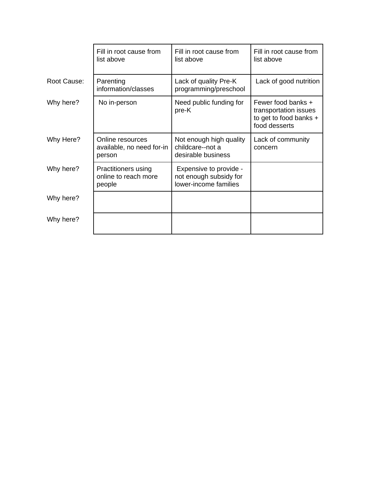|             | Fill in root cause from<br>list above                        | Fill in root cause from<br>list above                                     | Fill in root cause from<br>list above                                                  |
|-------------|--------------------------------------------------------------|---------------------------------------------------------------------------|----------------------------------------------------------------------------------------|
| Root Cause: | Parenting<br>information/classes                             | Lack of quality Pre-K<br>programming/preschool                            | Lack of good nutrition                                                                 |
| Why here?   | No in-person                                                 | Need public funding for<br>pre-K                                          | Fewer food banks +<br>transportation issues<br>to get to food banks +<br>food desserts |
| Why Here?   | Online resources<br>available, no need for-in<br>person      | Not enough high quality<br>childcare--not a<br>desirable business         | Lack of community<br>concern                                                           |
| Why here?   | <b>Practitioners using</b><br>online to reach more<br>people | Expensive to provide -<br>not enough subsidy for<br>lower-income families |                                                                                        |
| Why here?   |                                                              |                                                                           |                                                                                        |
| Why here?   |                                                              |                                                                           |                                                                                        |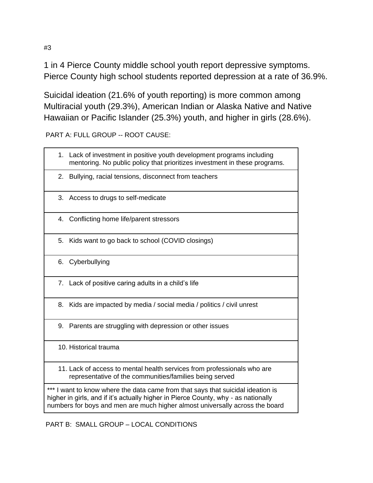1 in 4 Pierce County middle school youth report depressive symptoms. Pierce County high school students reported depression at a rate of 36.9%.

Suicidal ideation (21.6% of youth reporting) is more common among Multiracial youth (29.3%), American Indian or Alaska Native and Native Hawaiian or Pacific Islander (25.3%) youth, and higher in girls (28.6%).

PART A: FULL GROUP -- ROOT CAUSE:

|                                                                                                                                                                                                                                                   | 1. Lack of investment in positive youth development programs including<br>mentoring. No public policy that prioritizes investment in these programs. |  |  |  |
|---------------------------------------------------------------------------------------------------------------------------------------------------------------------------------------------------------------------------------------------------|------------------------------------------------------------------------------------------------------------------------------------------------------|--|--|--|
|                                                                                                                                                                                                                                                   | 2. Bullying, racial tensions, disconnect from teachers                                                                                               |  |  |  |
|                                                                                                                                                                                                                                                   | 3. Access to drugs to self-medicate                                                                                                                  |  |  |  |
|                                                                                                                                                                                                                                                   | 4. Conflicting home life/parent stressors                                                                                                            |  |  |  |
| 5.                                                                                                                                                                                                                                                | Kids want to go back to school (COVID closings)                                                                                                      |  |  |  |
|                                                                                                                                                                                                                                                   | 6. Cyberbullying                                                                                                                                     |  |  |  |
|                                                                                                                                                                                                                                                   | 7. Lack of positive caring adults in a child's life                                                                                                  |  |  |  |
| 8.                                                                                                                                                                                                                                                | Kids are impacted by media / social media / politics / civil unrest                                                                                  |  |  |  |
|                                                                                                                                                                                                                                                   | 9. Parents are struggling with depression or other issues                                                                                            |  |  |  |
|                                                                                                                                                                                                                                                   | 10. Historical trauma                                                                                                                                |  |  |  |
|                                                                                                                                                                                                                                                   | 11. Lack of access to mental health services from professionals who are<br>representative of the communities/families being served                   |  |  |  |
| I want to know where the data came from that says that suicidal ideation is<br>higher in girls, and if it's actually higher in Pierce County, why - as nationally<br>numbers for boys and men are much higher almost universally across the board |                                                                                                                                                      |  |  |  |

PART B: SMALL GROUP – LOCAL CONDITIONS

#3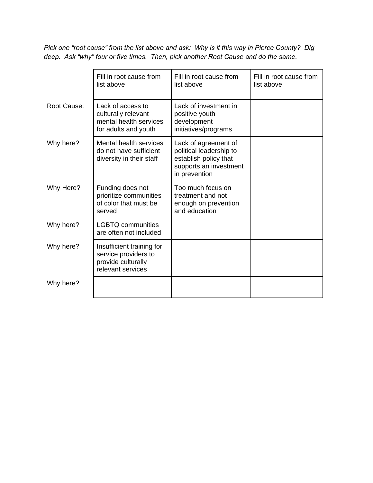*Pick one "root cause" from the list above and ask: Why is it this way in Pierce County? Dig deep. Ask "why" four or five times. Then, pick another Root Cause and do the same.*

|             | Fill in root cause from<br>list above                                                        | Fill in root cause from<br>list above                                                                               | Fill in root cause from<br>list above |
|-------------|----------------------------------------------------------------------------------------------|---------------------------------------------------------------------------------------------------------------------|---------------------------------------|
| Root Cause: | Lack of access to<br>culturally relevant<br>mental health services<br>for adults and youth   | Lack of investment in<br>positive youth<br>development<br>initiatives/programs                                      |                                       |
| Why here?   | Mental health services<br>do not have sufficient<br>diversity in their staff                 | Lack of agreement of<br>political leadership to<br>establish policy that<br>supports an investment<br>in prevention |                                       |
| Why Here?   | Funding does not<br>prioritize communities<br>of color that must be<br>served                | Too much focus on<br>treatment and not<br>enough on prevention<br>and education                                     |                                       |
| Why here?   | <b>LGBTQ communities</b><br>are often not included                                           |                                                                                                                     |                                       |
| Why here?   | Insufficient training for<br>service providers to<br>provide culturally<br>relevant services |                                                                                                                     |                                       |
| Why here?   |                                                                                              |                                                                                                                     |                                       |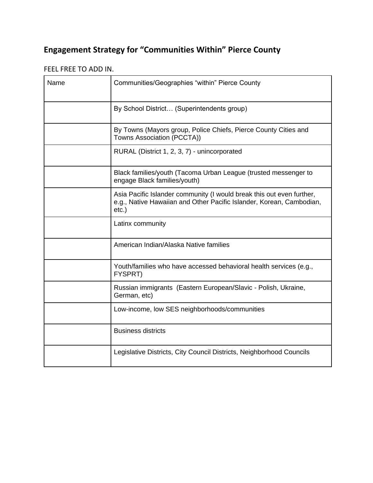## **Engagement Strategy for "Communities Within" Pierce County**

#### FEEL FREE TO ADD IN.

| Name | Communities/Geographies "within" Pierce County                                                                                                            |
|------|-----------------------------------------------------------------------------------------------------------------------------------------------------------|
|      | By School District (Superintendents group)                                                                                                                |
|      | By Towns (Mayors group, Police Chiefs, Pierce County Cities and<br>Towns Association (PCCTA))                                                             |
|      | RURAL (District 1, 2, 3, 7) - unincorporated                                                                                                              |
|      | Black families/youth (Tacoma Urban League (trusted messenger to<br>engage Black families/youth)                                                           |
|      | Asia Pacific Islander community (I would break this out even further,<br>e.g., Native Hawaiian and Other Pacific Islander, Korean, Cambodian,<br>$etc.$ ) |
|      | Latinx community                                                                                                                                          |
|      | American Indian/Alaska Native families                                                                                                                    |
|      | Youth/families who have accessed behavioral health services (e.g.,<br>FYSPRT)                                                                             |
|      | Russian immigrants (Eastern European/Slavic - Polish, Ukraine,<br>German, etc)                                                                            |
|      | Low-income, low SES neighborhoods/communities                                                                                                             |
|      | <b>Business districts</b>                                                                                                                                 |
|      | Legislative Districts, City Council Districts, Neighborhood Councils                                                                                      |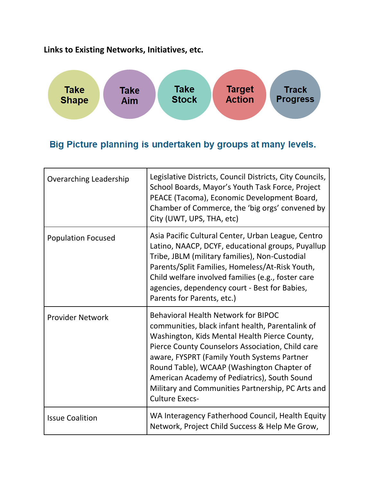**Links to Existing Networks, Initiatives, etc.**



### Big Picture planning is undertaken by groups at many levels.

| <b>Overarching Leadership</b> | Legislative Districts, Council Districts, City Councils,<br>School Boards, Mayor's Youth Task Force, Project<br>PEACE (Tacoma), Economic Development Board,<br>Chamber of Commerce, the 'big orgs' convened by<br>City (UWT, UPS, THA, etc)                                                                                                                                                                                    |
|-------------------------------|--------------------------------------------------------------------------------------------------------------------------------------------------------------------------------------------------------------------------------------------------------------------------------------------------------------------------------------------------------------------------------------------------------------------------------|
| <b>Population Focused</b>     | Asia Pacific Cultural Center, Urban League, Centro<br>Latino, NAACP, DCYF, educational groups, Puyallup<br>Tribe, JBLM (military families), Non-Custodial<br>Parents/Split Families, Homeless/At-Risk Youth,<br>Child welfare involved families (e.g., foster care<br>agencies, dependency court - Best for Babies,<br>Parents for Parents, etc.)                                                                              |
| <b>Provider Network</b>       | <b>Behavioral Health Network for BIPOC</b><br>communities, black infant health, Parentalink of<br>Washington, Kids Mental Health Pierce County,<br>Pierce County Counselors Association, Child care<br>aware, FYSPRT (Family Youth Systems Partner<br>Round Table), WCAAP (Washington Chapter of<br>American Academy of Pediatrics), South Sound<br>Military and Communities Partnership, PC Arts and<br><b>Culture Execs-</b> |
| <b>Issue Coalition</b>        | WA Interagency Fatherhood Council, Health Equity<br>Network, Project Child Success & Help Me Grow,                                                                                                                                                                                                                                                                                                                             |